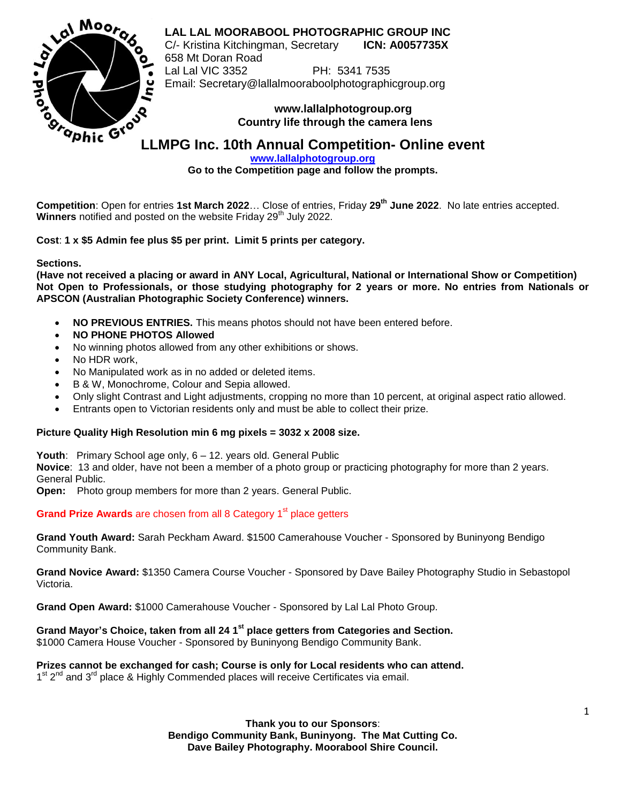

**LAL LAL MOORABOOL PHOTOGRAPHIC GROUP INC**

C/- Kristina Kitchingman, Secretary **ICN: A0057735X** 658 Mt Doran Road Lal Lal VIC 3352 PH: 5341 7535 Email: Secretary@lallalmooraboolphotographicgroup.org

## **www.lallalphotogroup.org Country life through the camera lens**

**[www.lallalphotogroup.org](http://www.lallalphotogroup.org/)**

**Go to the Competition page and follow the prompts.**

**Competition**: Open for entries **1st March 2022**… Close of entries, Friday **29 th June 2022**. No late entries accepted. **Winners** notified and posted on the website Friday 29<sup>th</sup> July 2022.

**Cost**: **1 x \$5 Admin fee plus \$5 per print. Limit 5 prints per category.**

**Sections.**

**(Have not received a placing or award in ANY Local, Agricultural, National or International Show or Competition) Not Open to Professionals, or those studying photography for 2 years or more. No entries from Nationals or APSCON (Australian Photographic Society Conference) winners.**

- **NO PREVIOUS ENTRIES.** This means photos should not have been entered before.
- **NO PHONE PHOTOS Allowed**
- No winning photos allowed from any other exhibitions or shows.
- No HDR work,
- No Manipulated work as in no added or deleted items.
- B & W, Monochrome, Colour and Sepia allowed.
- Only slight Contrast and Light adjustments, cropping no more than 10 percent, at original aspect ratio allowed.
- Entrants open to Victorian residents only and must be able to collect their prize.

## **Picture Quality High Resolution min 6 mg pixels = 3032 x 2008 size.**

**Youth**: Primary School age only, 6 – 12. years old. General Public

**Novice**: 13 and older, have not been a member of a photo group or practicing photography for more than 2 years. General Public.

**Open:** Photo group members for more than 2 years. General Public.

**Grand Prize Awards** are chosen from all 8 Category 1<sup>st</sup> place getters

**Grand Youth Award:** Sarah Peckham Award. \$1500 Camerahouse Voucher - Sponsored by Buninyong Bendigo Community Bank.

**Grand Novice Award:** \$1350 Camera Course Voucher - Sponsored by Dave Bailey Photography Studio in Sebastopol Victoria.

**Grand Open Award:** \$1000 Camerahouse Voucher - Sponsored by Lal Lal Photo Group.

**Grand Mayor's Choice, taken from all 24 1st place getters from Categories and Section.**

\$1000 Camera House Voucher - Sponsored by Buninyong Bendigo Community Bank.

**Prizes cannot be exchanged for cash; Course is only for Local residents who can attend.**

1<sup>st</sup> 2<sup>nd</sup> and 3<sup>rd</sup> place & Highly Commended places will receive Certificates via email.

**Thank you to our Sponsors**: **Bendigo Community Bank, Buninyong. The Mat Cutting Co. Dave Bailey Photography. Moorabool Shire Council.**